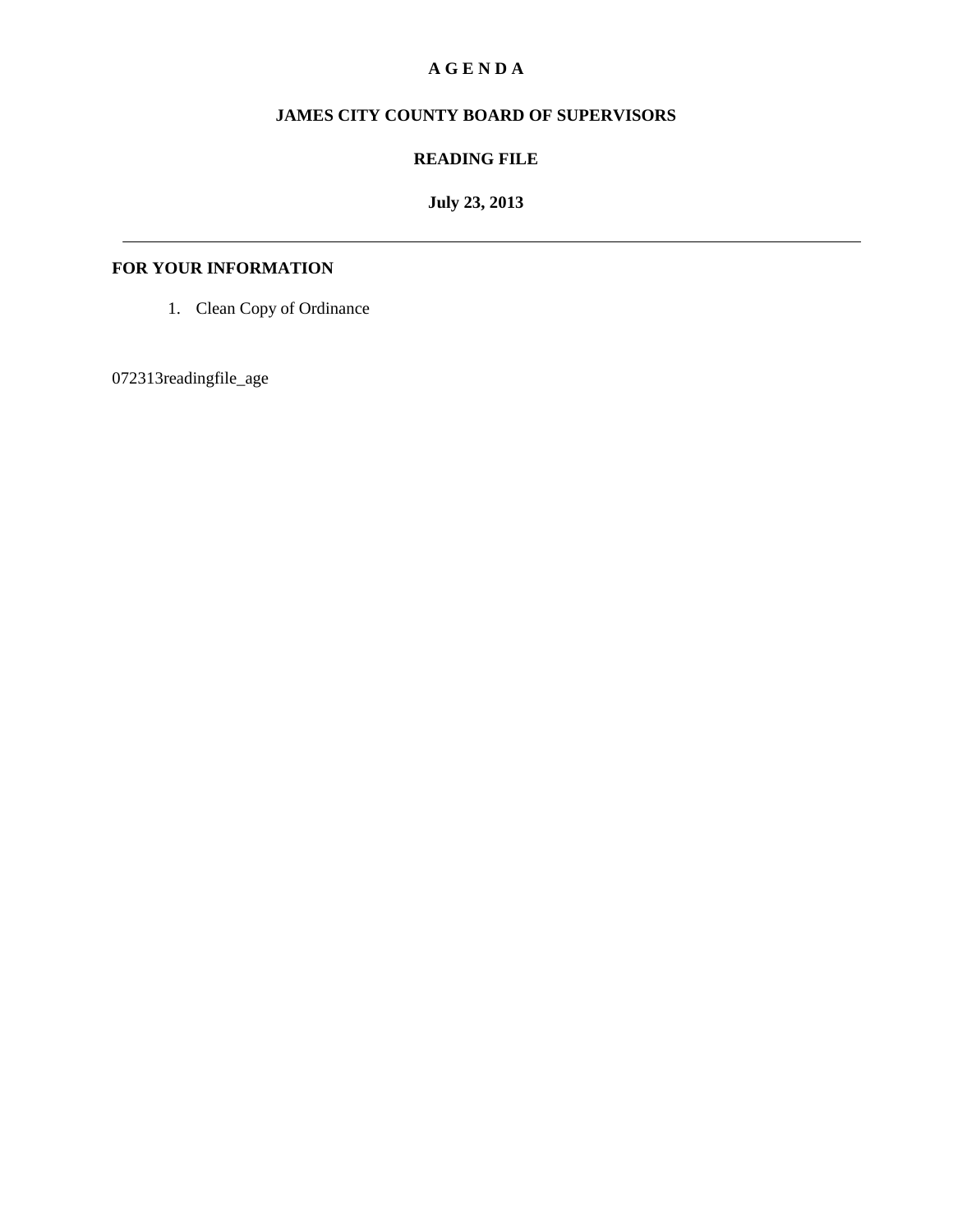### **A G E N D A**

## **JAMES CITY COUNTY BOARD OF SUPERVISORS**

## **READING FILE**

# **July 23, 2013**

### **FOR YOUR INFORMATION**

1. Clean Copy of Ordinance

072313readingfile\_age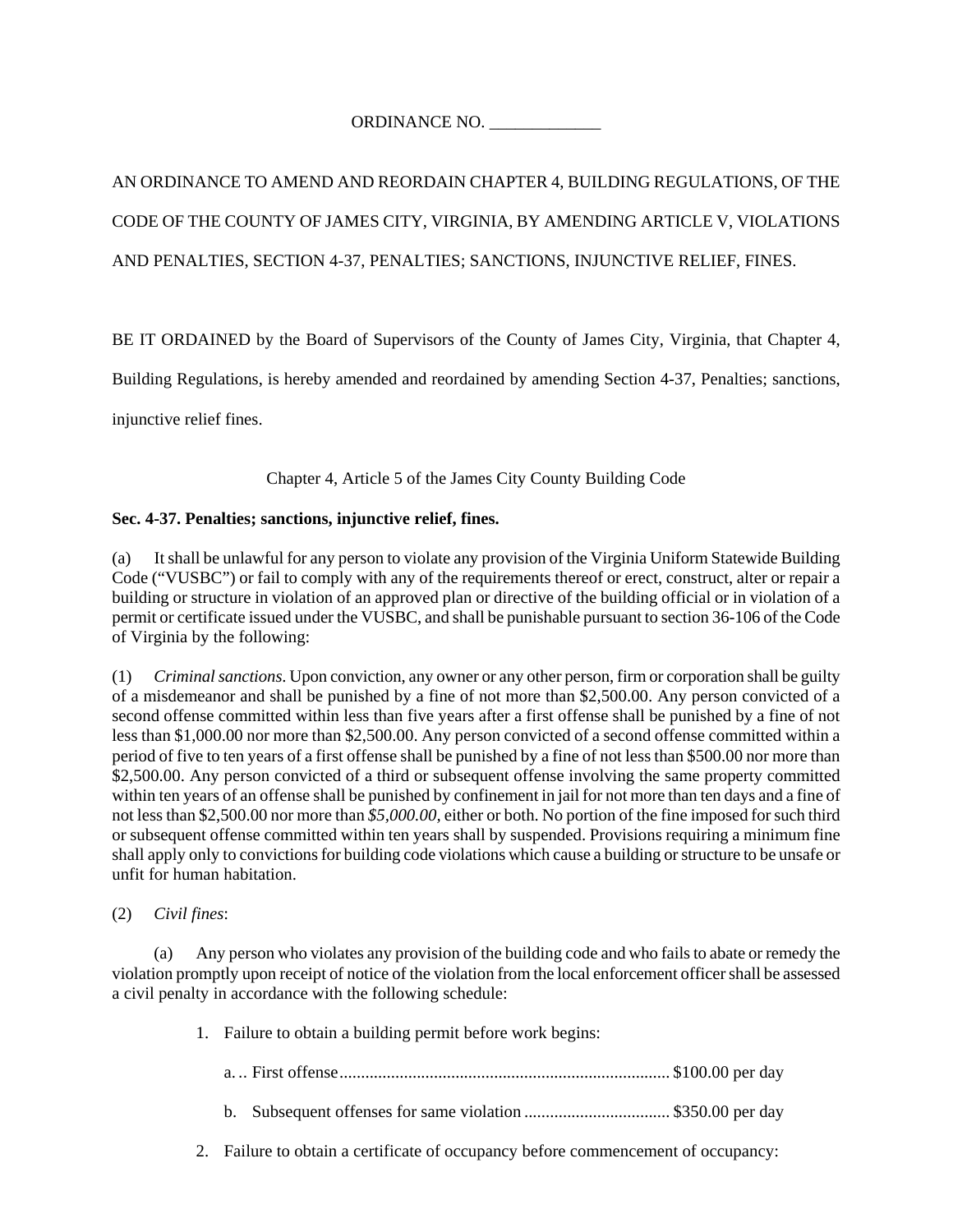ORDINANCE NO. \_\_\_\_\_\_\_\_\_\_\_\_\_

AN ORDINANCE TO AMEND AND REORDAIN CHAPTER 4, BUILDING REGULATIONS, OF THE CODE OF THE COUNTY OF JAMES CITY, VIRGINIA, BY AMENDING ARTICLE V, VIOLATIONS AND PENALTIES, SECTION 4-37, PENALTIES; SANCTIONS, INJUNCTIVE RELIEF, FINES.

BE IT ORDAINED by the Board of Supervisors of the County of James City, Virginia, that Chapter 4,

Building Regulations, is hereby amended and reordained by amending Section 4-37, Penalties; sanctions,

injunctive relief fines.

Chapter 4, Article 5 of the James City County Building Code

#### **Sec. 4-37. Penalties; sanctions, injunctive relief, fines.**

(a) It shall be unlawful for any person to violate any provision of the Virginia Uniform Statewide Building Code ("VUSBC") or fail to comply with any of the requirements thereof or erect, construct, alter or repair a building or structure in violation of an approved plan or directive of the building official or in violation of a permit or certificate issued under the VUSBC, and shall be punishable pursuant to section 36-106 of the Code of Virginia by the following:

(1) *Criminal sanctions*. Upon conviction, any owner or any other person, firm or corporation shall be guilty of a misdemeanor and shall be punished by a fine of not more than \$2,500.00. Any person convicted of a second offense committed within less than five years after a first offense shall be punished by a fine of not less than \$1,000.00 nor more than \$2,500.00. Any person convicted of a second offense committed within a period of five to ten years of a first offense shall be punished by a fine of not less than \$500.00 nor more than \$2,500.00. Any person convicted of a third or subsequent offense involving the same property committed within ten years of an offense shall be punished by confinement in jail for not more than ten days and a fine of not less than \$2,500.00 nor more than *\$5,000.00,* either or both. No portion of the fine imposed for such third or subsequent offense committed within ten years shall by suspended. Provisions requiring a minimum fine shall apply only to convictions for building code violations which cause a building or structure to be unsafe or unfit for human habitation.

#### (2) *Civil fines*:

(a) Any person who violates any provision of the building code and who fails to abate or remedy the violation promptly upon receipt of notice of the violation from the local enforcement officer shall be assessed a civil penalty in accordance with the following schedule:

1. Failure to obtain a building permit before work begins:

- b. Subsequent offenses for same violation .................................. \$350.00 per day
- 2. Failure to obtain a certificate of occupancy before commencement of occupancy: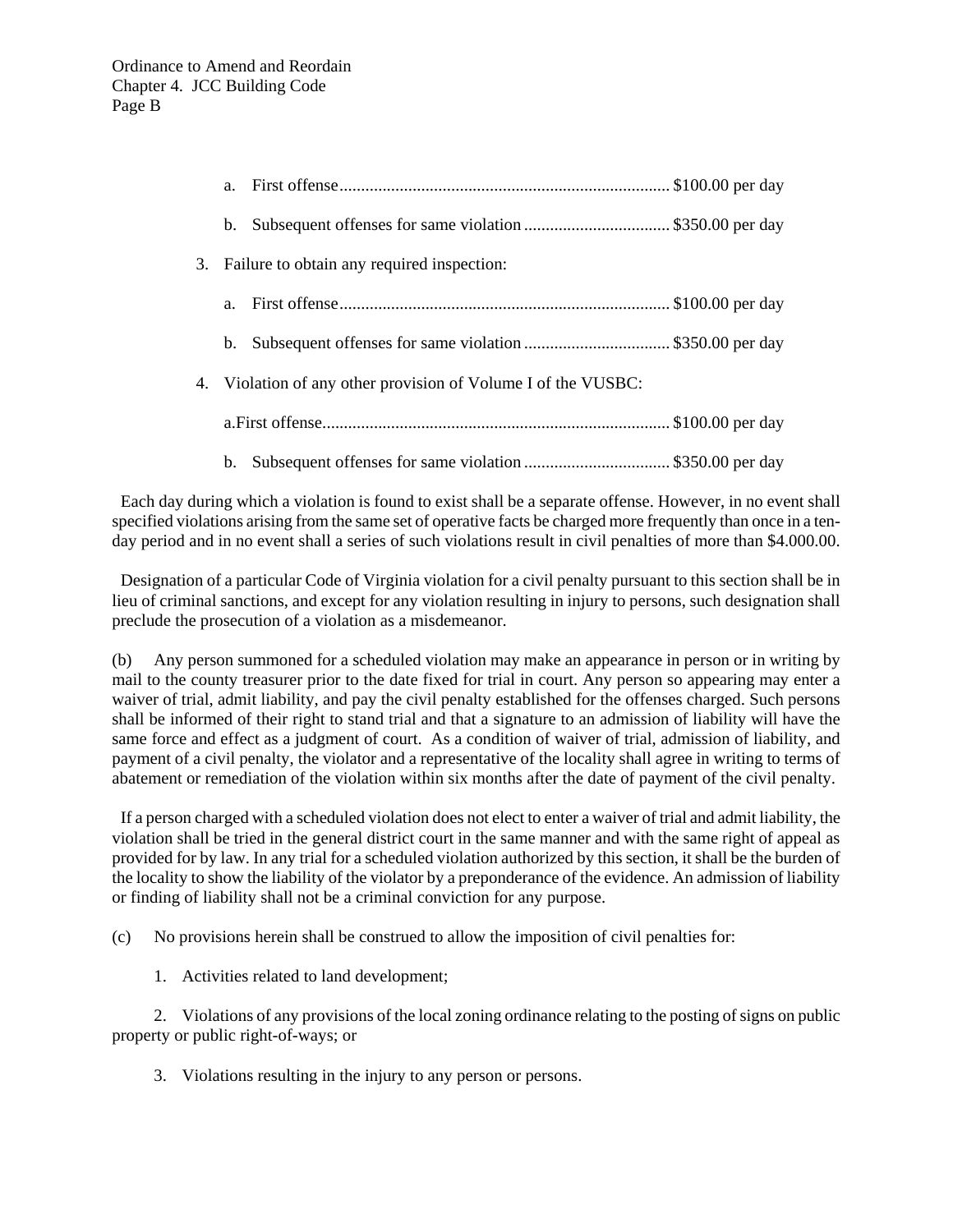|    | a.                                                         |  |  |
|----|------------------------------------------------------------|--|--|
|    | b.                                                         |  |  |
| 3. | Failure to obtain any required inspection:                 |  |  |
|    | a <sub>z</sub>                                             |  |  |
|    | b.                                                         |  |  |
| 4. | Violation of any other provision of Volume I of the VUSBC: |  |  |
|    |                                                            |  |  |
|    | b.                                                         |  |  |

 Each day during which a violation is found to exist shall be a separate offense. However, in no event shall specified violations arising from the same set of operative facts be charged more frequently than once in a tenday period and in no event shall a series of such violations result in civil penalties of more than \$4.000.00.

 Designation of a particular Code of Virginia violation for a civil penalty pursuant to this section shall be in lieu of criminal sanctions, and except for any violation resulting in injury to persons, such designation shall preclude the prosecution of a violation as a misdemeanor.

(b) Any person summoned for a scheduled violation may make an appearance in person or in writing by mail to the county treasurer prior to the date fixed for trial in court. Any person so appearing may enter a waiver of trial, admit liability, and pay the civil penalty established for the offenses charged. Such persons shall be informed of their right to stand trial and that a signature to an admission of liability will have the same force and effect as a judgment of court. As a condition of waiver of trial, admission of liability, and payment of a civil penalty, the violator and a representative of the locality shall agree in writing to terms of abatement or remediation of the violation within six months after the date of payment of the civil penalty.

If a person charged with a scheduled violation does not elect to enter a waiver of trial and admit liability, the violation shall be tried in the general district court in the same manner and with the same right of appeal as provided for by law. In any trial for a scheduled violation authorized by this section, it shall be the burden of the locality to show the liability of the violator by a preponderance of the evidence. An admission of liability or finding of liability shall not be a criminal conviction for any purpose.

(c) No provisions herein shall be construed to allow the imposition of civil penalties for:

1. Activities related to land development;

 2. Violations of any provisions of the local zoning ordinance relating to the posting of signs on public property or public right-of-ways; or

3. Violations resulting in the injury to any person or persons.